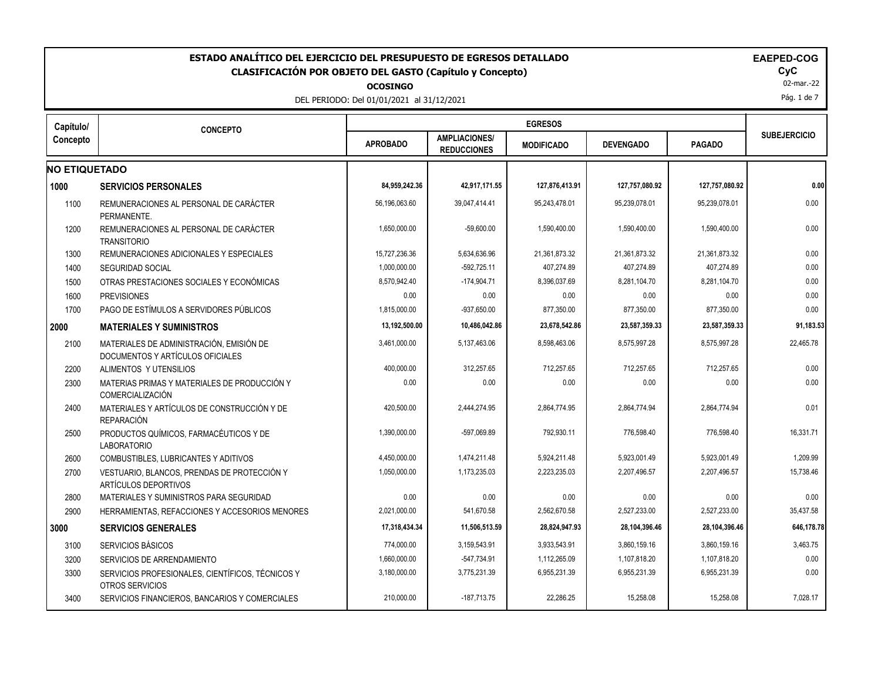|                      | ESTADO ANALÍTICO DEL EJERCICIO DEL PRESUPUESTO DE EGRESOS DETALLADO<br>CLASIFICACIÓN POR OBJETO DEL GASTO (Capítulo y Concepto) | <b>OCOSINGO</b><br>DEL PERIODO: Del 01/01/2021 al 31/12/2021 |                                            |                   |                  |                | <b>EAEPED-COG</b><br><b>CyC</b><br>02-mar.-22<br>Pág. 1 de 7 |
|----------------------|---------------------------------------------------------------------------------------------------------------------------------|--------------------------------------------------------------|--------------------------------------------|-------------------|------------------|----------------|--------------------------------------------------------------|
| Capítulo/            | <b>CONCEPTO</b>                                                                                                                 |                                                              |                                            | <b>EGRESOS</b>    |                  |                |                                                              |
| Concepto             |                                                                                                                                 | <b>APROBADO</b>                                              | <b>AMPLIACIONES/</b><br><b>REDUCCIONES</b> | <b>MODIFICADO</b> | <b>DEVENGADO</b> | <b>PAGADO</b>  | <b>SUBEJERCICIO</b>                                          |
| <b>NO ETIQUETADO</b> |                                                                                                                                 |                                                              |                                            |                   |                  |                |                                                              |
| 1000                 | <b>SERVICIOS PERSONALES</b>                                                                                                     | 84,959,242.36                                                | 42,917,171.55                              | 127,876,413.91    | 127,757,080.92   | 127,757,080.92 | 0.00                                                         |
| 1100                 | REMUNERACIONES AL PERSONAL DE CARÁCTER<br>PERMANENTE.                                                                           | 56,196,063.60                                                | 39,047,414.41                              | 95,243,478.01     | 95,239,078.01    | 95,239,078.01  | 0.00                                                         |
| 1200                 | REMUNERACIONES AL PERSONAL DE CARÁCTER<br><b>TRANSITORIO</b>                                                                    | 1,650,000.00                                                 | $-59,600.00$                               | 1,590,400.00      | 1,590,400.00     | 1,590,400.00   | 0.00                                                         |
| 1300                 | REMUNERACIONES ADICIONALES Y ESPECIALES                                                                                         | 15,727,236.36                                                | 5,634,636.96                               | 21,361,873.32     | 21,361,873.32    | 21,361,873.32  | 0.00                                                         |
| 1400                 | <b>SEGURIDAD SOCIAL</b>                                                                                                         | 1,000,000.00                                                 | $-592,725.11$                              | 407,274.89        | 407,274.89       | 407,274.89     | 0.00                                                         |
| 1500                 | OTRAS PRESTACIONES SOCIALES Y ECONÓMICAS                                                                                        | 8,570,942.40                                                 | $-174,904.71$                              | 8,396,037.69      | 8,281,104.70     | 8,281,104.70   | 0.00                                                         |
| 1600                 | <b>PREVISIONES</b>                                                                                                              | 0.00                                                         | 0.00                                       | 0.00              | 0.00             | 0.00           | 0.00                                                         |
| 1700                 | PAGO DE ESTÍMULOS A SERVIDORES PÚBLICOS                                                                                         | 1,815,000.00                                                 | $-937,650.00$                              | 877,350.00        | 877,350.00       | 877,350.00     | 0.00                                                         |
|                      | <b>MATERIALES Y SUMINISTROS</b>                                                                                                 | 13,192,500.00                                                | 10,486,042.86                              | 23,678,542.86     | 23,587,359.33    | 23,587,359.33  | 91,183.53                                                    |
| 2100                 | MATERIALES DE ADMINISTRACIÓN. EMISIÓN DE<br>DOCUMENTOS Y ARTÍCULOS OFICIALES                                                    | 3,461,000.00                                                 | 5,137,463.06                               | 8.598.463.06      | 8.575.997.28     | 8,575,997.28   | 22.465.78                                                    |
| 2200                 | ALIMENTOS Y UTENSILIOS                                                                                                          | 400,000.00                                                   | 312,257.65                                 | 712,257.65        | 712,257.65       | 712,257.65     | 0.00                                                         |
| 2300                 | MATERIAS PRIMAS Y MATERIALES DE PRODUCCIÓN Y<br><b>COMERCIALIZACIÓN</b>                                                         | 0.00                                                         | 0.00                                       | 0.00              | 0.00             | 0.00           | 0.00                                                         |
| 2400                 | MATERIALES Y ARTÍCULOS DE CONSTRUCCIÓN Y DE<br><b>REPARACIÓN</b>                                                                | 420,500.00                                                   | 2,444,274.95                               | 2,864,774.95      | 2,864,774.94     | 2,864,774.94   | 0.01                                                         |
| 2500                 | PRODUCTOS QUÍMICOS, FARMACÉUTICOS Y DE<br><b>LABORATORIO</b>                                                                    | 1,390,000.00                                                 | -597,069.89                                | 792,930.11        | 776,598.40       | 776,598.40     | 16,331.71                                                    |
| 2600                 | COMBUSTIBLES, LUBRICANTES Y ADITIVOS                                                                                            | 4,450,000.00                                                 | 1,474,211.48                               | 5,924,211.48      | 5,923,001.49     | 5,923,001.49   | 1,209.99                                                     |
| 2700                 | VESTUARIO, BLANCOS, PRENDAS DE PROTECCIÓN Y<br>ARTÍCULOS DEPORTIVOS                                                             | 1,050,000.00                                                 | 1,173,235.03                               | 2,223,235.03      | 2,207,496.57     | 2,207,496.57   | 15,738.46                                                    |
| 2800                 | MATERIALES Y SUMINISTROS PARA SEGURIDAD                                                                                         | 0.00                                                         | 0.00                                       | 0.00              | 0.00             | 0.00           | 0.00                                                         |
| 2900                 | HERRAMIENTAS, REFACCIONES Y ACCESORIOS MENORES                                                                                  | 2,021,000.00                                                 | 541,670.58                                 | 2,562,670.58      | 2,527,233.00     | 2,527,233.00   | 35,437.58                                                    |
| 3000                 | <b>SERVICIOS GENERALES</b>                                                                                                      | 17,318,434.34                                                | 11,506,513.59                              | 28,824,947.93     | 28,104,396.46    | 28,104,396.46  | 646,178.78                                                   |
| 3100                 | SERVICIOS BÁSICOS                                                                                                               | 774,000.00                                                   | 3,159,543.91                               | 3,933,543.91      | 3,860,159.16     | 3,860,159.16   | 3,463.75                                                     |
| 3200                 | SERVICIOS DE ARRENDAMIENTO                                                                                                      | 1,660,000.00                                                 | $-547,734.91$                              | 1,112,265.09      | 1,107,818.20     | 1,107,818.20   | 0.00                                                         |
| 3300                 | SERVICIOS PROFESIONALES, CIENTÍFICOS, TÉCNICOS Y<br>OTROS SERVICIOS                                                             | 3,180,000.00                                                 | 3,775,231.39                               | 6,955,231.39      | 6,955,231.39     | 6,955,231.39   | 0.00                                                         |
| 3400                 | SERVICIOS FINANCIEROS, BANCARIOS Y COMERCIALES                                                                                  | 210.000.00                                                   | $-187.713.75$                              | 22.286.25         | 15.258.08        | 15.258.08      | 7,028.17                                                     |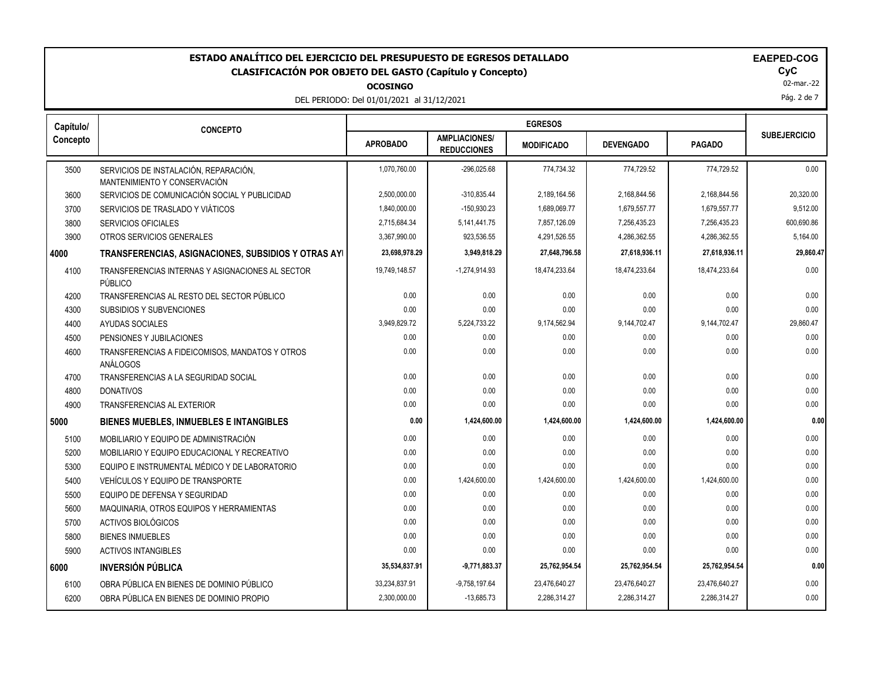**OCOSINGO**

DEL PERIODO: Del 01/01/2021 al 31/12/2021

02-mar.-22

Pág. 2 de 7

| Capítulo/ | <b>CONCEPTO</b>                                                       |                 |                                            | <b>EGRESOS</b>    |                  |               |                     |
|-----------|-----------------------------------------------------------------------|-----------------|--------------------------------------------|-------------------|------------------|---------------|---------------------|
| Concepto  |                                                                       | <b>APROBADO</b> | <b>AMPLIACIONES/</b><br><b>REDUCCIONES</b> | <b>MODIFICADO</b> | <b>DEVENGADO</b> | <b>PAGADO</b> | <b>SUBEJERCICIO</b> |
| 3500      | SERVICIOS DE INSTALACIÓN, REPARACIÓN,<br>MANTENIMIENTO Y CONSERVACIÓN | 1,070,760.00    | $-296,025.68$                              | 774,734.32        | 774,729.52       | 774,729.52    | 0.00                |
| 3600      | SERVICIOS DE COMUNICACIÓN SOCIAL Y PUBLICIDAD                         | 2,500,000.00    | $-310,835.44$                              | 2,189,164.56      | 2,168,844.56     | 2,168,844.56  | 20,320.00           |
| 3700      | SERVICIOS DE TRASLADO Y VIÁTICOS                                      | 1,840,000.00    | $-150,930.23$                              | 1,689,069.77      | 1,679,557.77     | 1,679,557.77  | 9,512.00            |
| 3800      | SERVICIOS OFICIALES                                                   | 2,715,684.34    | 5, 141, 441. 75                            | 7,857,126.09      | 7,256,435.23     | 7,256,435.23  | 600,690.86          |
| 3900      | OTROS SERVICIOS GENERALES                                             | 3,367,990.00    | 923,536.55                                 | 4,291,526.55      | 4,286,362.55     | 4,286,362.55  | 5,164.00            |
| 4000      | TRANSFERENCIAS, ASIGNACIONES, SUBSIDIOS Y OTRAS AYI                   | 23,698,978.29   | 3,949,818.29                               | 27,648,796.58     | 27,618,936.11    | 27,618,936.11 | 29,860.47           |
| 4100      | TRANSFERENCIAS INTERNAS Y ASIGNACIONES AL SECTOR<br>PÚBLICO           | 19,749,148.57   | $-1,274,914.93$                            | 18,474,233.64     | 18,474,233.64    | 18,474,233.64 | 0.00                |
| 4200      | TRANSFERENCIAS AL RESTO DEL SECTOR PÚBLICO                            | 0.00            | 0.00                                       | 0.00              | 0.00             | 0.00          | 0.00                |
| 4300      | <b>SUBSIDIOS Y SUBVENCIONES</b>                                       | 0.00            | 0.00                                       | 0.00              | 0.00             | 0.00          | 0.00                |
| 4400      | AYUDAS SOCIALES                                                       | 3,949,829.72    | 5,224,733.22                               | 9,174,562.94      | 9,144,702.47     | 9,144,702.47  | 29,860.47           |
| 4500      | PENSIONES Y JUBILACIONES                                              | 0.00            | 0.00                                       | 0.00              | 0.00             | 0.00          | 0.00                |
| 4600      | TRANSFERENCIAS A FIDEICOMISOS, MANDATOS Y OTROS<br>ANÁLOGOS           | 0.00            | 0.00                                       | 0.00              | 0.00             | 0.00          | 0.00                |
| 4700      | TRANSFERENCIAS A LA SEGURIDAD SOCIAL                                  | 0.00            | 0.00                                       | 0.00              | 0.00             | 0.00          | 0.00                |
| 4800      | <b>DONATIVOS</b>                                                      | 0.00            | 0.00                                       | 0.00              | 0.00             | 0.00          | 0.00                |
| 4900      | <b>TRANSFERENCIAS AL EXTERIOR</b>                                     | 0.00            | 0.00                                       | 0.00              | 0.00             | 0.00          | 0.00                |
| 5000      | <b>BIENES MUEBLES, INMUEBLES E INTANGIBLES</b>                        | 0.00            | 1,424,600.00                               | 1,424,600.00      | 1,424,600.00     | 1,424,600.00  | 0.00                |
| 5100      | MOBILIARIO Y EQUIPO DE ADMINISTRACIÓN                                 | 0.00            | 0.00                                       | 0.00              | 0.00             | 0.00          | 0.00                |
| 5200      | MOBILIARIO Y EQUIPO EDUCACIONAL Y RECREATIVO                          | 0.00            | 0.00                                       | 0.00              | 0.00             | 0.00          | 0.00                |
| 5300      | EQUIPO E INSTRUMENTAL MÉDICO Y DE LABORATORIO                         | 0.00            | 0.00                                       | 0.00              | 0.00             | 0.00          | 0.00                |
| 5400      | <b>VEHÍCULOS Y EQUIPO DE TRANSPORTE</b>                               | 0.00            | 1,424,600.00                               | 1,424,600.00      | 1,424,600.00     | 1,424,600.00  | 0.00                |
| 5500      | EQUIPO DE DEFENSA Y SEGURIDAD                                         | 0.00            | 0.00                                       | 0.00              | 0.00             | 0.00          | 0.00                |
| 5600      | MAQUINARIA, OTROS EQUIPOS Y HERRAMIENTAS                              | 0.00            | 0.00                                       | 0.00              | 0.00             | 0.00          | 0.00                |
| 5700      | ACTIVOS BIOLÓGICOS                                                    | 0.00            | 0.00                                       | 0.00              | 0.00             | 0.00          | 0.00                |
| 5800      | <b>BIENES INMUEBLES</b>                                               | 0.00            | 0.00                                       | 0.00              | 0.00             | 0.00          | 0.00                |
| 5900      | <b>ACTIVOS INTANGIBLES</b>                                            | 0.00            | 0.00                                       | 0.00              | 0.00             | 0.00          | 0.00                |
| 6000      | <b>INVERSIÓN PÚBLICA</b>                                              | 35,534,837.91   | $-9,771,883.37$                            | 25,762,954.54     | 25,762,954.54    | 25,762,954.54 | 0.00                |
| 6100      | OBRA PÚBLICA EN BIENES DE DOMINIO PÚBLICO                             | 33,234,837.91   | $-9,758,197.64$                            | 23,476,640.27     | 23,476,640.27    | 23,476,640.27 | 0.00                |
| 6200      | OBRA PÚBLICA EN BIENES DE DOMINIO PROPIO                              | 2,300,000.00    | $-13,685.73$                               | 2,286,314.27      | 2,286,314.27     | 2,286,314.27  | 0.00                |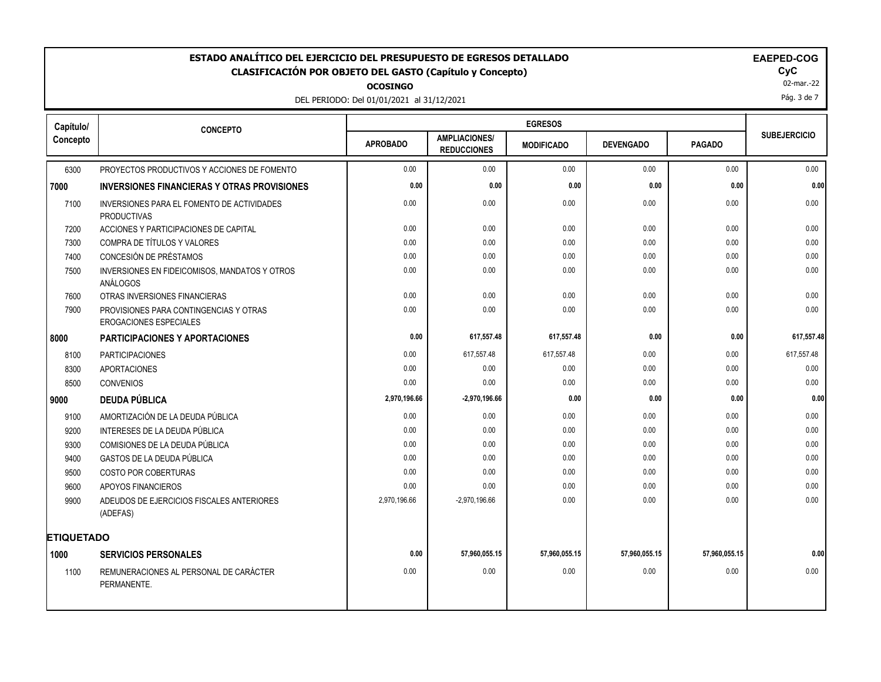**OCOSINGO**

DEL PERIODO: Del 01/01/2021 al 31/12/2021

02-mar.-22 Pág. 3 de 7

| Capítulo/         | <b>CONCEPTO</b>                                                         |                 |                                            | <b>EGRESOS</b>    |                  |               |                     |
|-------------------|-------------------------------------------------------------------------|-----------------|--------------------------------------------|-------------------|------------------|---------------|---------------------|
| Concepto          |                                                                         | <b>APROBADO</b> | <b>AMPLIACIONES/</b><br><b>REDUCCIONES</b> | <b>MODIFICADO</b> | <b>DEVENGADO</b> | <b>PAGADO</b> | <b>SUBEJERCICIO</b> |
| 6300              | PROYECTOS PRODUCTIVOS Y ACCIONES DE FOMENTO                             | 0.00            | 0.00                                       | 0.00              | 0.00             | 0.00          | 0.00                |
| 7000              | <b>INVERSIONES FINANCIERAS Y OTRAS PROVISIONES</b>                      | 0.00            | 0.00                                       | 0.00              | 0.00             | 0.00          | 0.00                |
| 7100              | INVERSIONES PARA EL FOMENTO DE ACTIVIDADES<br><b>PRODUCTIVAS</b>        | 0.00            | 0.00                                       | 0.00              | 0.00             | 0.00          | 0.00                |
| 7200              | ACCIONES Y PARTICIPACIONES DE CAPITAL                                   | 0.00            | 0.00                                       | 0.00              | 0.00             | 0.00          | 0.00                |
| 7300              | COMPRA DE TÍTULOS Y VALORES                                             | 0.00            | 0.00                                       | 0.00              | 0.00             | 0.00          | 0.00                |
| 7400              | CONCESIÓN DE PRÉSTAMOS                                                  | 0.00            | 0.00                                       | 0.00              | 0.00             | 0.00          | 0.00                |
| 7500              | INVERSIONES EN FIDEICOMISOS, MANDATOS Y OTROS<br>ANÁLOGOS               | 0.00            | 0.00                                       | 0.00              | 0.00             | 0.00          | 0.00                |
| 7600              | OTRAS INVERSIONES FINANCIERAS                                           | 0.00            | 0.00                                       | 0.00              | 0.00             | 0.00          | 0.00                |
| 7900              | PROVISIONES PARA CONTINGENCIAS Y OTRAS<br><b>EROGACIONES ESPECIALES</b> | 0.00            | 0.00                                       | 0.00              | 0.00             | 0.00          | 0.00                |
| 8000              | PARTICIPACIONES Y APORTACIONES                                          | 0.00            | 617,557.48                                 | 617,557.48        | 0.00             | 0.00          | 617,557.48          |
| 8100              | <b>PARTICIPACIONES</b>                                                  | 0.00            | 617,557.48                                 | 617,557.48        | 0.00             | 0.00          | 617,557.48          |
| 8300              | <b>APORTACIONES</b>                                                     | 0.00            | 0.00                                       | 0.00              | 0.00             | 0.00          | 0.00                |
| 8500              | <b>CONVENIOS</b>                                                        | 0.00            | 0.00                                       | 0.00              | 0.00             | 0.00          | 0.00                |
| 9000              | <b>DEUDA PÚBLICA</b>                                                    | 2,970,196.66    | $-2,970,196.66$                            | 0.00              | 0.00             | 0.00          | 0.00                |
| 9100              | AMORTIZACIÓN DE LA DEUDA PÚBLICA                                        | 0.00            | 0.00                                       | 0.00              | 0.00             | 0.00          | 0.00                |
| 9200              | INTERESES DE LA DEUDA PÚBLICA                                           | 0.00            | 0.00                                       | 0.00              | 0.00             | 0.00          | 0.00                |
| 9300              | COMISIONES DE LA DEUDA PÚBLICA                                          | 0.00            | 0.00                                       | 0.00              | 0.00             | 0.00          | 0.00                |
| 9400              | GASTOS DE LA DEUDA PÚBLICA                                              | 0.00            | 0.00                                       | 0.00              | 0.00             | 0.00          | 0.00                |
| 9500              | COSTO POR COBERTURAS                                                    | 0.00            | 0.00                                       | 0.00              | 0.00             | 0.00          | 0.00                |
| 9600              | APOYOS FINANCIEROS                                                      | 0.00            | 0.00                                       | 0.00              | 0.00             | 0.00          | 0.00                |
| 9900              | ADEUDOS DE EJERCICIOS FISCALES ANTERIORES<br>(ADEFAS)                   | 2,970,196.66    | $-2.970.196.66$                            | 0.00              | 0.00             | 0.00          | 0.00                |
| <b>ETIQUETADO</b> |                                                                         |                 |                                            |                   |                  |               |                     |
| 1000              | <b>SERVICIOS PERSONALES</b>                                             | 0.00            | 57,960,055.15                              | 57,960,055.15     | 57,960,055.15    | 57,960,055.15 | 0.00                |
| 1100              | REMUNERACIONES AL PERSONAL DE CARÁCTER<br>PERMANENTE.                   | 0.00            | 0.00                                       | 0.00              | 0.00             | 0.00          | 0.00                |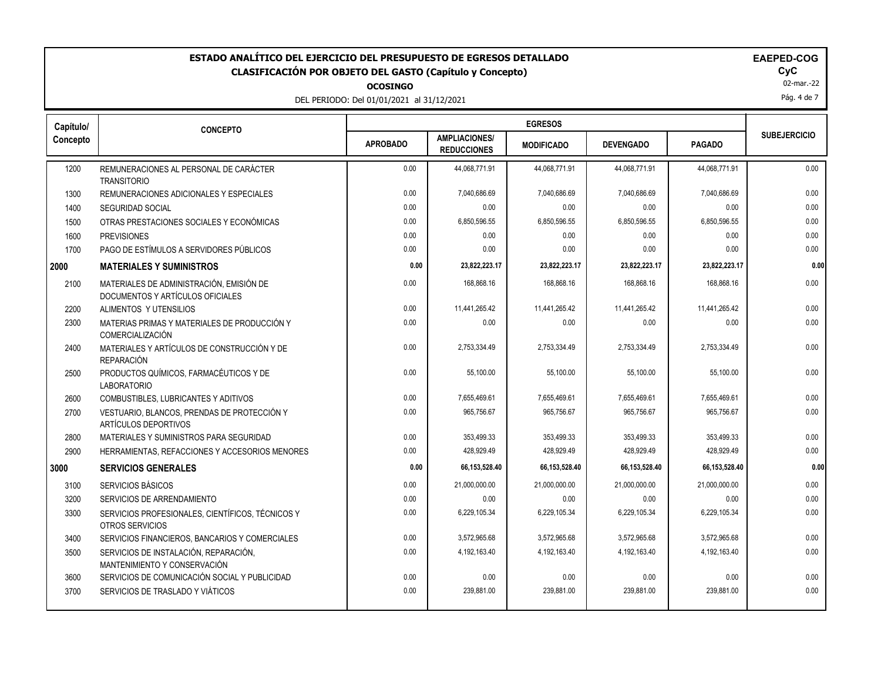# ESTADO ANALÍTICO DEL EJERCICIO DEL PRESUPUESTO DE EGRESOS DETALLADO<br>CLASIFICACIÓN POR OBJETO DEL GASTO (Capítulo y Concepto) **EXACTES DE ACASIFICACIÓN POR OBJETO DEL GASTO** (Capítulo y Concepto) **CLASIFICACIÓN POR OBJETO DEL GASTO (Capítulo y Concepto) CyC**

**OCOSINGO**

DEL PERIODO: Del 01/01/2021 al 31/12/2021

|  |  |  | <b>ULUSINGU</b> |  |  |  |  |  |  |  |  |  |  |
|--|--|--|-----------------|--|--|--|--|--|--|--|--|--|--|
|  |  |  |                 |  |  |  |  |  |  |  |  |  |  |

| <b>AEPED-COG</b> |  |
|------------------|--|
|------------------|--|

02-mar.-22

Pág. 4 de 7

| Capítulo/ | <b>CONCEPTO</b>                                                              |                 |                                            | <b>EGRESOS</b>    |                  |                 |                     |
|-----------|------------------------------------------------------------------------------|-----------------|--------------------------------------------|-------------------|------------------|-----------------|---------------------|
| Concepto  |                                                                              | <b>APROBADO</b> | <b>AMPLIACIONES/</b><br><b>REDUCCIONES</b> | <b>MODIFICADO</b> | <b>DEVENGADO</b> | <b>PAGADO</b>   | <b>SUBEJERCICIO</b> |
| 1200      | REMUNERACIONES AL PERSONAL DE CARÁCTER<br><b>TRANSITORIO</b>                 | 0.00            | 44,068,771.91                              | 44,068,771.91     | 44,068,771.91    | 44,068,771.91   | 0.00                |
| 1300      | REMUNERACIONES ADICIONALES Y ESPECIALES                                      | 0.00            | 7,040,686.69                               | 7,040,686.69      | 7,040,686.69     | 7,040,686.69    | 0.00                |
| 1400      | SEGURIDAD SOCIAL                                                             | 0.00            | 0.00                                       | 0.00              | 0.00             | 0.00            | 0.00                |
| 1500      | OTRAS PRESTACIONES SOCIALES Y ECONÓMICAS                                     | 0.00            | 6,850,596.55                               | 6,850,596.55      | 6,850,596.55     | 6,850,596.55    | 0.00                |
| 1600      | <b>PREVISIONES</b>                                                           | 0.00            | 0.00                                       | 0.00              | 0.00             | 0.00            | 0.00                |
| 1700      | PAGO DE ESTÍMULOS A SERVIDORES PÚBLICOS                                      | 0.00            | 0.00                                       | 0.00              | 0.00             | 0.00            | 0.00                |
| 2000      | <b>MATERIALES Y SUMINISTROS</b>                                              | 0.00            | 23,822,223.17                              | 23,822,223.17     | 23,822,223.17    | 23,822,223.17   | 0.00                |
| 2100      | MATERIALES DE ADMINISTRACIÓN, EMISIÓN DE<br>DOCUMENTOS Y ARTÍCULOS OFICIALES | 0.00            | 168,868.16                                 | 168.868.16        | 168,868.16       | 168.868.16      | 0.00                |
| 2200      | ALIMENTOS Y UTENSILIOS                                                       | 0.00            | 11,441,265.42                              | 11,441,265.42     | 11,441,265.42    | 11,441,265.42   | 0.00                |
| 2300      | MATERIAS PRIMAS Y MATERIALES DE PRODUCCIÓN Y<br><b>COMERCIALIZACIÓN</b>      | 0.00            | 0.00                                       | 0.00              | 0.00             | 0.00            | 0.00                |
| 2400      | MATERIALES Y ARTÍCULOS DE CONSTRUCCIÓN Y DE<br><b>REPARACIÓN</b>             | 0.00            | 2,753,334.49                               | 2,753,334.49      | 2,753,334.49     | 2,753,334.49    | 0.00                |
| 2500      | PRODUCTOS QUÍMICOS, FARMACÉUTICOS Y DE<br><b>LABORATORIO</b>                 | 0.00            | 55,100.00                                  | 55,100.00         | 55,100.00        | 55,100.00       | 0.00                |
| 2600      | COMBUSTIBLES, LUBRICANTES Y ADITIVOS                                         | 0.00            | 7,655,469.61                               | 7,655,469.61      | 7,655,469.61     | 7,655,469.61    | 0.00                |
| 2700      | VESTUARIO, BLANCOS, PRENDAS DE PROTECCIÓN Y<br>ARTÍCULOS DEPORTIVOS          | 0.00            | 965,756.67                                 | 965,756.67        | 965,756.67       | 965,756.67      | 0.00                |
| 2800      | MATERIALES Y SUMINISTROS PARA SEGURIDAD                                      | 0.00            | 353,499.33                                 | 353,499.33        | 353,499.33       | 353,499.33      | 0.00                |
| 2900      | HERRAMIENTAS, REFACCIONES Y ACCESORIOS MENORES                               | 0.00            | 428,929.49                                 | 428.929.49        | 428,929.49       | 428.929.49      | 0.00                |
| 3000      | <b>SERVICIOS GENERALES</b>                                                   | 0.00            | 66, 153, 528. 40                           | 66, 153, 528.40   | 66,153,528.40    | 66, 153, 528.40 | 0.00                |
| 3100      | <b>SERVICIOS BÁSICOS</b>                                                     | 0.00            | 21,000,000.00                              | 21,000,000.00     | 21,000,000.00    | 21,000,000.00   | 0.00                |
| 3200      | SERVICIOS DE ARRENDAMIENTO                                                   | 0.00            | 0.00                                       | 0.00              | 0.00             | 0.00            | 0.00                |
| 3300      | SERVICIOS PROFESIONALES, CIENTÍFICOS, TÉCNICOS Y<br>OTROS SERVICIOS          | 0.00            | 6,229,105.34                               | 6,229,105.34      | 6,229,105.34     | 6,229,105.34    | 0.00                |
| 3400      | SERVICIOS FINANCIEROS, BANCARIOS Y COMERCIALES                               | 0.00            | 3,572,965.68                               | 3,572,965.68      | 3,572,965.68     | 3,572,965.68    | 0.00                |
| 3500      | SERVICIOS DE INSTALACIÓN, REPARACIÓN,<br>MANTENIMIENTO Y CONSERVACIÓN        | 0.00            | 4,192,163.40                               | 4,192,163.40      | 4,192,163.40     | 4,192,163.40    | 0.00                |
| 3600      | SERVICIOS DE COMUNICACIÓN SOCIAL Y PUBLICIDAD                                | 0.00            | 0.00                                       | 0.00              | 0.00             | 0.00            | 0.00                |
| 3700      | SERVICIOS DE TRASLADO Y VIÁTICOS                                             | 0.00            | 239,881.00                                 | 239,881.00        | 239,881.00       | 239,881.00      | 0.00                |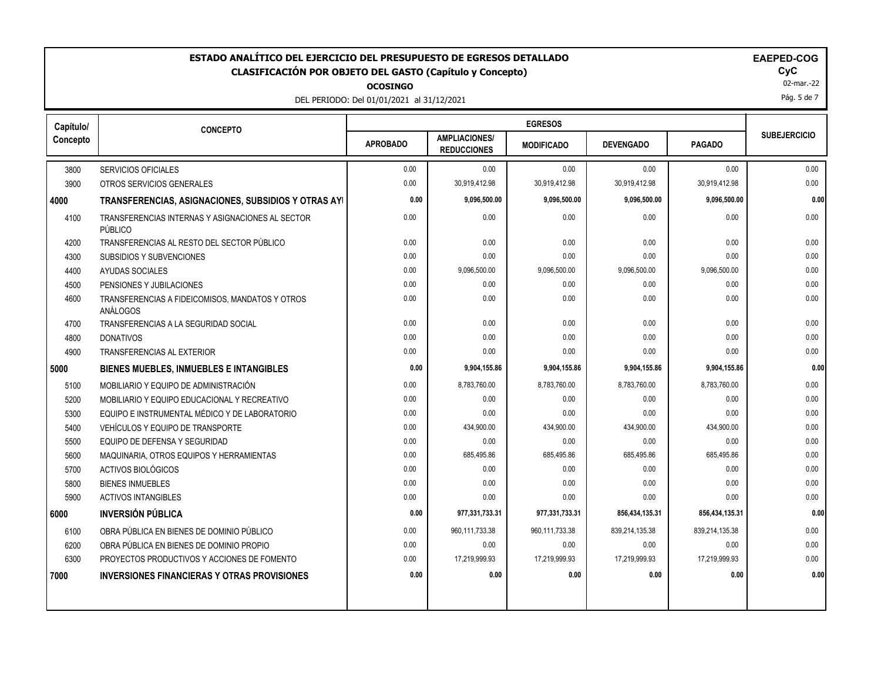**OCOSINGO**

DEL PERIODO: Del 01/01/2021 al 31/12/2021

| EAEPED-C( |  |  |  |  |
|-----------|--|--|--|--|
|           |  |  |  |  |

02-mar.-22

Pág. 5 de 7

| Capítulo/ | <b>CONCEPTO</b>                                             |                 |                                            | <b>EGRESOS</b>    |                  |                |                     |
|-----------|-------------------------------------------------------------|-----------------|--------------------------------------------|-------------------|------------------|----------------|---------------------|
| Concepto  |                                                             | <b>APROBADO</b> | <b>AMPLIACIONES/</b><br><b>REDUCCIONES</b> | <b>MODIFICADO</b> | <b>DEVENGADO</b> | <b>PAGADO</b>  | <b>SUBEJERCICIO</b> |
| 3800      | <b>SERVICIOS OFICIALES</b>                                  | 0.00            | 0.00                                       | 0.00              | 0.00             | 0.00           | 0.00                |
| 3900      | OTROS SERVICIOS GENERALES                                   | 0.00            | 30,919,412.98                              | 30,919,412.98     | 30,919,412.98    | 30,919,412.98  | 0.00                |
| 4000      | TRANSFERENCIAS, ASIGNACIONES, SUBSIDIOS Y OTRAS AYI         | 0.00            | 9,096,500.00                               | 9,096,500.00      | 9,096,500.00     | 9,096,500.00   | 0.00                |
| 4100      | TRANSFERENCIAS INTERNAS Y ASIGNACIONES AL SECTOR<br>PÚBLICO | 0.00            | 0.00                                       | 0.00              | 0.00             | 0.00           | 0.00                |
| 4200      | TRANSFERENCIAS AL RESTO DEL SECTOR PÚBLICO                  | 0.00            | 0.00                                       | 0.00              | 0.00             | 0.00           | 0.00                |
| 4300      | SUBSIDIOS Y SUBVENCIONES                                    | 0.00            | 0.00                                       | 0.00              | 0.00             | 0.00           | 0.00                |
| 4400      | <b>AYUDAS SOCIALES</b>                                      | 0.00            | 9,096,500.00                               | 9,096,500.00      | 9,096,500.00     | 9,096,500.00   | 0.00                |
| 4500      | PENSIONES Y JUBILACIONES                                    | 0.00            | 0.00                                       | 0.00              | 0.00             | 0.00           | 0.00                |
| 4600      | TRANSFERENCIAS A FIDEICOMISOS, MANDATOS Y OTROS<br>ANÁLOGOS | 0.00            | 0.00                                       | 0.00              | 0.00             | 0.00           | 0.00                |
| 4700      | TRANSFERENCIAS A LA SEGURIDAD SOCIAL                        | 0.00            | 0.00                                       | 0.00              | 0.00             | 0.00           | 0.00                |
| 4800      | <b>DONATIVOS</b>                                            | 0.00            | 0.00                                       | 0.00              | 0.00             | 0.00           | 0.00                |
| 4900      | TRANSFERENCIAS AL EXTERIOR                                  | 0.00            | 0.00                                       | 0.00              | 0.00             | 0.00           | 0.00                |
| 5000      | <b>BIENES MUEBLES, INMUEBLES E INTANGIBLES</b>              | 0.00            | 9,904,155.86                               | 9,904,155.86      | 9,904,155.86     | 9,904,155.86   | 0.00                |
| 5100      | MOBILIARIO Y EQUIPO DE ADMINISTRACIÓN                       | 0.00            | 8,783,760.00                               | 8,783,760.00      | 8,783,760.00     | 8,783,760.00   | 0.00                |
| 5200      | MOBILIARIO Y EQUIPO EDUCACIONAL Y RECREATIVO                | 0.00            | 0.00                                       | 0.00              | 0.00             | 0.00           | 0.00                |
| 5300      | EQUIPO E INSTRUMENTAL MÉDICO Y DE LABORATORIO               | 0.00            | 0.00                                       | 0.00              | 0.00             | 0.00           | 0.00                |
| 5400      | VEHÍCULOS Y EQUIPO DE TRANSPORTE                            | 0.00            | 434,900.00                                 | 434,900.00        | 434,900.00       | 434,900.00     | 0.00                |
| 5500      | EQUIPO DE DEFENSA Y SEGURIDAD                               | 0.00            | 0.00                                       | 0.00              | 0.00             | 0.00           | 0.00                |
| 5600      | MAQUINARIA, OTROS EQUIPOS Y HERRAMIENTAS                    | 0.00            | 685,495.86                                 | 685,495.86        | 685,495.86       | 685,495.86     | 0.00                |
| 5700      | ACTIVOS BIOLÓGICOS                                          | 0.00            | 0.00                                       | 0.00              | 0.00             | 0.00           | 0.00                |
| 5800      | <b>BIENES INMUEBLES</b>                                     | 0.00            | 0.00                                       | 0.00              | 0.00             | 0.00           | 0.00                |
| 5900      | <b>ACTIVOS INTANGIBLES</b>                                  | 0.00            | 0.00                                       | 0.00              | 0.00             | 0.00           | 0.00                |
| 6000      | <b>INVERSIÓN PÚBLICA</b>                                    | 0.00            | 977,331,733.31                             | 977,331,733.31    | 856,434,135.31   | 856,434,135.31 | 0.00                |
| 6100      | OBRA PÚBLICA EN BIENES DE DOMINIO PÚBLICO                   | 0.00            | 960,111,733.38                             | 960,111,733.38    | 839,214,135.38   | 839,214,135.38 | 0.00                |
| 6200      | OBRA PÚBLICA EN BIENES DE DOMINIO PROPIO                    | 0.00            | 0.00                                       | 0.00              | 0.00             | 0.00           | 0.00                |
| 6300      | PROYECTOS PRODUCTIVOS Y ACCIONES DE FOMENTO                 | 0.00            | 17,219,999.93                              | 17,219,999.93     | 17,219,999.93    | 17,219,999.93  | 0.00                |
| 7000      | INVERSIONES FINANCIERAS Y OTRAS PROVISIONES                 | 0.00            | 0.00                                       | 0.00              | 0.00             | 0.00           | 0.00                |
|           |                                                             |                 |                                            |                   |                  |                |                     |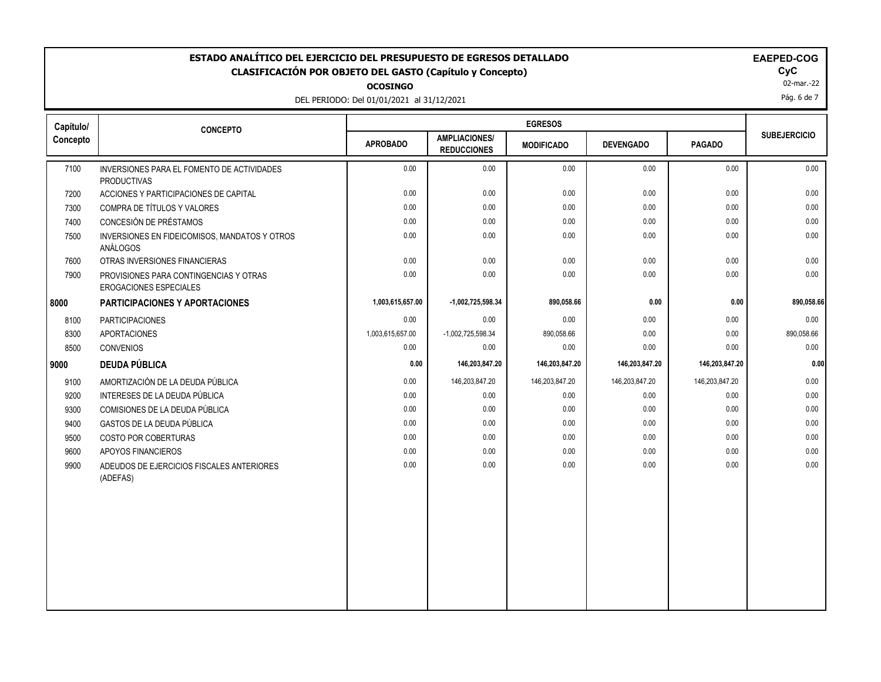**OCOSING** 

DEL PERIODO: Del 01/01/2021 al 31/12/2021

| G. |  |  |  |
|----|--|--|--|
|    |  |  |  |

| Capítulo/<br>Concepto<br>7100<br><b>PRODUCTIVAS</b><br>7200<br>7300<br>7400<br>7500<br>ANÁLOGOS<br>7600<br>7900<br>8000<br><b>PARTICIPACIONES</b><br>8100<br>8300<br><b>APORTACIONES</b><br>8500<br><b>CONVENIOS</b><br><b>DEUDA PÚBLICA</b><br>9000<br>9100<br>9200<br>9300<br>9400 | <b>CONCEPTO</b><br>INVERSIONES PARA EL FOMENTO DE ACTIVIDADES<br>ACCIONES Y PARTICIPACIONES DE CAPITAL<br>COMPRA DE TÍTULOS Y VALORES<br>CONCESIÓN DE PRÉSTAMOS<br>INVERSIONES EN FIDEICOMISOS, MANDATOS Y OTROS<br>OTRAS INVERSIONES FINANCIERAS<br>PROVISIONES PARA CONTINGENCIAS Y OTRAS<br><b>EROGACIONES ESPECIALES</b><br><b>PARTICIPACIONES Y APORTACIONES</b> | <b>APROBADO</b><br>0.00<br>0.00<br>0.00<br>0.00<br>0.00<br>0.00<br>0.00<br>1,003,615,657.00 | <b>AMPLIACIONES/</b><br><b>REDUCCIONES</b><br>0.00<br>0.00<br>0.00<br>0.00<br>0.00<br>0.00<br>0.00<br>-1,002,725,598.34 | <b>MODIFICADO</b><br>0.00<br>0.00<br>0.00<br>0.00<br>0.00<br>0.00<br>0.00 | <b>DEVENGADO</b><br>0.00<br>0.00<br>0.00<br>0.00<br>0.00<br>0.00<br>0.00 | <b>PAGADO</b><br>0.00<br>0.00<br>0.00<br>0.00<br>0.00<br>0.00<br>0.00 | <b>SUBEJERCICIO</b><br>0.00<br>0.00<br>0.00<br>0.00<br>0.00<br>0.00 |
|--------------------------------------------------------------------------------------------------------------------------------------------------------------------------------------------------------------------------------------------------------------------------------------|-----------------------------------------------------------------------------------------------------------------------------------------------------------------------------------------------------------------------------------------------------------------------------------------------------------------------------------------------------------------------|---------------------------------------------------------------------------------------------|-------------------------------------------------------------------------------------------------------------------------|---------------------------------------------------------------------------|--------------------------------------------------------------------------|-----------------------------------------------------------------------|---------------------------------------------------------------------|
|                                                                                                                                                                                                                                                                                      |                                                                                                                                                                                                                                                                                                                                                                       |                                                                                             |                                                                                                                         |                                                                           |                                                                          |                                                                       |                                                                     |
|                                                                                                                                                                                                                                                                                      |                                                                                                                                                                                                                                                                                                                                                                       |                                                                                             |                                                                                                                         |                                                                           |                                                                          |                                                                       |                                                                     |
|                                                                                                                                                                                                                                                                                      |                                                                                                                                                                                                                                                                                                                                                                       |                                                                                             |                                                                                                                         |                                                                           |                                                                          |                                                                       |                                                                     |
|                                                                                                                                                                                                                                                                                      |                                                                                                                                                                                                                                                                                                                                                                       |                                                                                             |                                                                                                                         |                                                                           |                                                                          |                                                                       |                                                                     |
|                                                                                                                                                                                                                                                                                      |                                                                                                                                                                                                                                                                                                                                                                       |                                                                                             |                                                                                                                         |                                                                           |                                                                          |                                                                       |                                                                     |
|                                                                                                                                                                                                                                                                                      |                                                                                                                                                                                                                                                                                                                                                                       |                                                                                             |                                                                                                                         |                                                                           |                                                                          |                                                                       |                                                                     |
|                                                                                                                                                                                                                                                                                      |                                                                                                                                                                                                                                                                                                                                                                       |                                                                                             |                                                                                                                         |                                                                           |                                                                          |                                                                       |                                                                     |
|                                                                                                                                                                                                                                                                                      |                                                                                                                                                                                                                                                                                                                                                                       |                                                                                             |                                                                                                                         |                                                                           |                                                                          |                                                                       | 0.00                                                                |
|                                                                                                                                                                                                                                                                                      |                                                                                                                                                                                                                                                                                                                                                                       |                                                                                             |                                                                                                                         | 890,058.66                                                                | 0.00                                                                     | 0.00                                                                  | 890,058.66                                                          |
|                                                                                                                                                                                                                                                                                      |                                                                                                                                                                                                                                                                                                                                                                       | 0.00                                                                                        | 0.00                                                                                                                    | 0.00                                                                      | 0.00                                                                     | 0.00                                                                  | 0.00                                                                |
|                                                                                                                                                                                                                                                                                      |                                                                                                                                                                                                                                                                                                                                                                       | 1,003,615,657.00                                                                            | $-1,002,725,598.34$                                                                                                     | 890,058.66                                                                | 0.00                                                                     | 0.00                                                                  | 890,058.66                                                          |
|                                                                                                                                                                                                                                                                                      |                                                                                                                                                                                                                                                                                                                                                                       | 0.00                                                                                        | 0.00                                                                                                                    | 0.00                                                                      | 0.00                                                                     | 0.00                                                                  | 0.00                                                                |
|                                                                                                                                                                                                                                                                                      |                                                                                                                                                                                                                                                                                                                                                                       | 0.00                                                                                        | 146,203,847.20                                                                                                          | 146,203,847.20                                                            | 146,203,847.20                                                           | 146,203,847.20                                                        | 0.00                                                                |
|                                                                                                                                                                                                                                                                                      | AMORTIZACIÓN DE LA DEUDA PÚBLICA                                                                                                                                                                                                                                                                                                                                      | 0.00                                                                                        | 146,203,847.20                                                                                                          | 146,203,847.20                                                            | 146,203,847.20                                                           | 146,203,847.20                                                        | 0.00                                                                |
|                                                                                                                                                                                                                                                                                      | INTERESES DE LA DEUDA PÚBLICA                                                                                                                                                                                                                                                                                                                                         | 0.00                                                                                        | 0.00                                                                                                                    | 0.00                                                                      | 0.00                                                                     | 0.00                                                                  | 0.00                                                                |
|                                                                                                                                                                                                                                                                                      | COMISIONES DE LA DEUDA PÚBLICA                                                                                                                                                                                                                                                                                                                                        | 0.00                                                                                        | 0.00                                                                                                                    | 0.00                                                                      | 0.00                                                                     | 0.00                                                                  | 0.00                                                                |
|                                                                                                                                                                                                                                                                                      | GASTOS DE LA DEUDA PÚBLICA                                                                                                                                                                                                                                                                                                                                            | 0.00                                                                                        | 0.00                                                                                                                    | 0.00                                                                      | 0.00                                                                     | 0.00                                                                  | 0.00                                                                |
| 9500                                                                                                                                                                                                                                                                                 | <b>COSTO POR COBERTURAS</b>                                                                                                                                                                                                                                                                                                                                           | 0.00                                                                                        | 0.00                                                                                                                    | 0.00                                                                      | 0.00                                                                     | 0.00                                                                  | 0.00                                                                |
| 9600                                                                                                                                                                                                                                                                                 | APOYOS FINANCIEROS                                                                                                                                                                                                                                                                                                                                                    | 0.00                                                                                        | 0.00                                                                                                                    | 0.00                                                                      | 0.00                                                                     | 0.00                                                                  | 0.00                                                                |
| 9900<br>(ADEFAS)                                                                                                                                                                                                                                                                     | ADEUDOS DE EJERCICIOS FISCALES ANTERIORES                                                                                                                                                                                                                                                                                                                             | 0.00                                                                                        | 0.00                                                                                                                    | 0.00                                                                      | 0.00                                                                     | 0.00                                                                  | 0.00                                                                |

02-mar.-22

Pág. 6 de 7